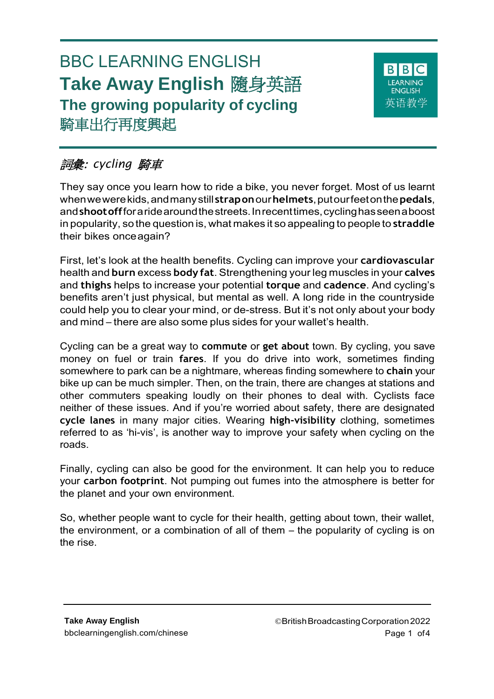# BBC LEARNING ENGLISH **Take Away English** 隨身英語 **The growing popularity of cycling** 騎車出行再度興起



# 詞彙: *cycling* 騎車

They say once you learn how to ride a bike, you never forget. Most of us learnt whenwewerekids,andmanystill **strapon**our**helmets**,putourfeetonthe**pedals**, and**shootoff**foraridearoundthestreets.Inrecenttimes,cyclinghasseenaboost in popularity, so the question is, what makes it so appealing to people to **straddle**  their bikes onceagain?

First, let's look at the health benefits. Cycling can improve your **cardiovascular**  health and **burn** excess **body fat**. Strengthening your leg muscles in your **calves**  and **thighs** helps to increase your potential **torque** and **cadence**. And cycling's benefits aren't just physical, but mental as well. A long ride in the countryside could help you to clear your mind, or de-stress. But it's not only about your body and mind – there are also some plus sides for your wallet's health.

Cycling can be a great way to **commute** or **get about** town. By cycling, you save money on fuel or train **fares**. If you do drive into work, sometimes finding somewhere to park can be a nightmare, whereas finding somewhere to **chain** your bike up can be much simpler. Then, on the train, there are changes at stations and other commuters speaking loudly on their phones to deal with. Cyclists face neither of these issues. And if you're worried about safety, there are designated **cycle lanes** in many major cities. Wearing **high-visibility** clothing, sometimes referred to as 'hi-vis', is another way to improve your safety when cycling on the roads.

Finally, cycling can also be good for the environment. It can help you to reduce your **carbon footprint**. Not pumping out fumes into the atmosphere is better for the planet and your own environment.

So, whether people want to cycle for their health, getting about town, their wallet, the environment, or a combination of all of them – the popularity of cycling is on the rise.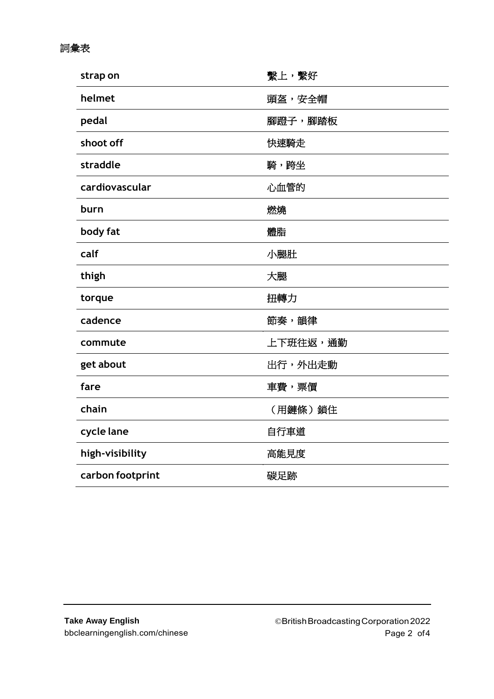### 詞彙表

| strap on         | 繫上,繫好    |
|------------------|----------|
| helmet           | 頭盔,安全帽   |
| pedal            | 腳蹬子,腳踏板  |
| shoot off        | 快速騎走     |
| straddle         | 騎,跨坐     |
| cardiovascular   | 心血管的     |
| burn             | 燃燒       |
| body fat         | 體脂       |
| calf             | 小腿肚      |
| thigh            | 大腿       |
| torque           | 扭轉力      |
| cadence          | 節奏,韻律    |
| commute          | 上下班往返,通勤 |
| get about        | 出行,外出走動  |
| fare             | 車費,票價    |
| chain            | (用鏈條)鎖住  |
| cycle lane       | 自行車道     |
| high-visibility  | 高能見度     |
| carbon footprint | 碳足跡      |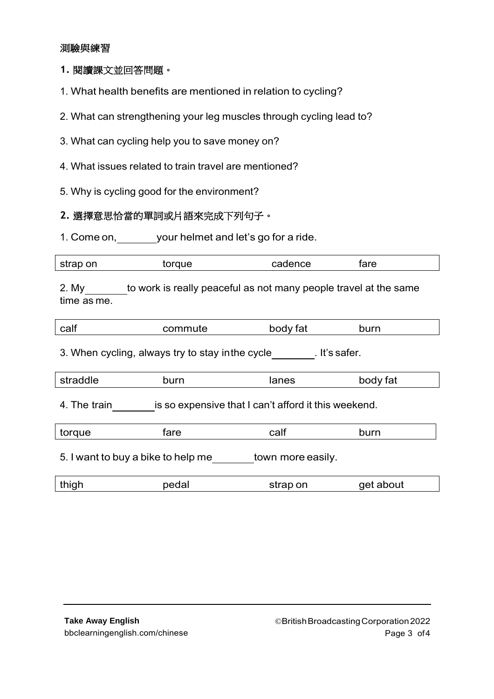#### 測驗與練習

#### **1.** 閱讀課文並回答問題。

- 1. What health benefits are mentioned in relation to cycling?
- 2. What can strengthening your leg muscles through cycling lead to?
- 3. What can cycling help you to save money on?
- 4. What issues related to train travel are mentioned?
- 5. Why is cycling good for the environment?

# **2.** 選擇意思恰當的單詞或片語來完成下列句子。

1. Come on, your helmet and let's go for a ride.

| strap on | torque | cadence | tare |
|----------|--------|---------|------|
|          |        |         |      |

2. My to work is really peaceful as not many people travel at the same time as me.

| calf                                                                 | commute | body fat | burn      |  |  |
|----------------------------------------------------------------------|---------|----------|-----------|--|--|
| . It's safer.<br>3. When cycling, always try to stay in the cycle    |         |          |           |  |  |
| straddle                                                             | burn    | lanes    | body fat  |  |  |
| 4. The train<br>is so expensive that I can't afford it this weekend. |         |          |           |  |  |
| torque                                                               | fare    | calf     | burn      |  |  |
| town more easily.<br>5. I want to buy a bike to help me              |         |          |           |  |  |
| thigh                                                                | pedal   | strap on | get about |  |  |